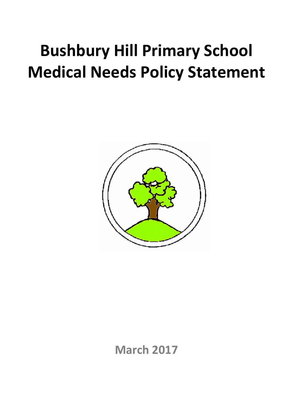# **Bushbury Hill Primary School Medical Needs Policy Statement**



**March 2017**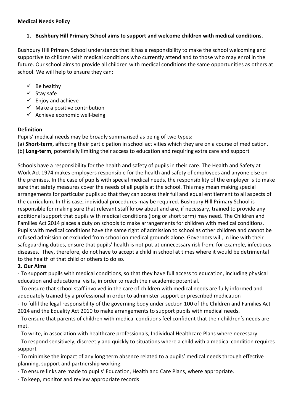# **Medical Needs Policy**

# **1. Bushbury Hill Primary School aims to support and welcome children with medical conditions.**

Bushbury Hill Primary School understands that it has a responsibility to make the school welcoming and supportive to children with medical conditions who currently attend and to those who may enrol in the future. Our school aims to provide all children with medical conditions the same opportunities as others at school. We will help to ensure they can:

- $\checkmark$  Be healthy
- $\checkmark$  Stay safe
- $\checkmark$  Enjoy and achieve
- $\checkmark$  Make a positive contribution
- $\checkmark$  Achieve economic well-being

# **Definition**

Pupils' medical needs may be broadly summarised as being of two types:

- (a) **Short-term**, affecting their participation in school activities which they are on a course of medication.
- (b) **Long-term**, potentially limiting their access to education and requiring extra care and support

Schools have a responsibility for the health and safety of pupils in their care. The Health and Safety at Work Act 1974 makes employers responsible for the health and safety of employees and anyone else on the premises. In the case of pupils with special medical needs, the responsibility of the employer is to make sure that safety measures cover the needs of all pupils at the school. This may mean making special arrangements for particular pupils so that they can access their full and equal entitlement to all aspects of the curriculum. In this case, individual procedures may be required. Bushbury Hill Primary School is responsible for making sure that relevant staff know about and are, if necessary, trained to provide any additional support that pupils with medical conditions (long or short term) may need. The Children and Families Act 2014 places a duty on schools to make arrangements for children with medical conditions. Pupils with medical conditions have the same right of admission to school as other children and cannot be refused admission or excluded from school on medical grounds alone. Governors will, in line with their safeguarding duties, ensure that pupils' health is not put at unnecessary risk from, for example, infectious diseases. They, therefore, do not have to accept a child in school at times where it would be detrimental to the health of that child or others to do so.

# **2. Our Aims**

- To support pupils with medical conditions, so that they have full access to education, including physical education and educational visits, in order to reach their academic potential.

- To ensure that school staff involved in the care of children with medical needs are fully informed and adequately trained by a professional in order to administer support or prescribed medication

- To fulfil the legal responsibility of the governing body under section 100 of the Children and Families Act 2014 and the Equality Act 2010 to make arrangements to support pupils with medical needs.

- To ensure that parents of children with medical conditions feel confident that their children's needs are met.

- To write, in association with healthcare professionals, Individual Healthcare Plans where necessary

- To respond sensitively, discreetly and quickly to situations where a child with a medical condition requires support

- To minimise the impact of any long term absence related to a pupils' medical needs through effective planning, support and partnership working.

- To ensure links are made to pupils' Education, Health and Care Plans, where appropriate.

- To keep, monitor and review appropriate records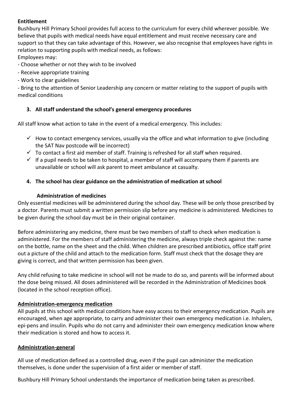# **Entitlement**

Bushbury Hill Primary School provides full access to the curriculum for every child wherever possible. We believe that pupils with medical needs have equal entitlement and must receive necessary care and support so that they can take advantage of this. However, we also recognise that employees have rights in relation to supporting pupils with medical needs, as follows: Employees may:

- Choose whether or not they wish to be involved

- Receive appropriate training
- Work to clear guidelines

- Bring to the attention of Senior Leadership any concern or matter relating to the support of pupils with medical conditions

# **3. All staff understand the school's general emergency procedures**

All staff know what action to take in the event of a medical emergency. This includes:

- $\checkmark$  How to contact emergency services, usually via the office and what information to give (including the SAT Nav postcode will be incorrect)
- $\checkmark$  To contact a first aid member of staff. Training is refreshed for all staff when required.
- $\checkmark$  If a pupil needs to be taken to hospital, a member of staff will accompany them if parents are unavailable or school will ask parent to meet ambulance at casualty.

# **4. The school has clear guidance on the administration of medication at school**

# **Administration of medicines**

Only essential medicines will be administered during the school day. These will be only those prescribed by a doctor. Parents must submit a written permission slip before any medicine is administered. Medicines to be given during the school day must be in their original container.

Before administering any medicine, there must be two members of staff to check when medication is administered. For the members of staff administering the medicine, always triple check against the: name on the bottle, name on the sheet and the child. When children are prescribed antibiotics, office staff print out a picture of the child and attach to the medication form. Staff must check that the dosage they are giving is correct, and that written permission has been given.

Any child refusing to take medicine in school will not be made to do so, and parents will be informed about the dose being missed. All doses administered will be recorded in the Administration of Medicines book (located in the school reception office).

# **Administration-emergency medication**

All pupils at this school with medical conditions have easy access to their emergency medication. Pupils are encouraged, when age appropriate, to carry and administer their own emergency medication i.e. Inhalers, epi-pens and insulin. Pupils who do not carry and administer their own emergency medication know where their medication is stored and how to access it.

# **Administration-general**

All use of medication defined as a controlled drug, even if the pupil can administer the medication themselves, is done under the supervision of a first aider or member of staff.

Bushbury Hill Primary School understands the importance of medication being taken as prescribed.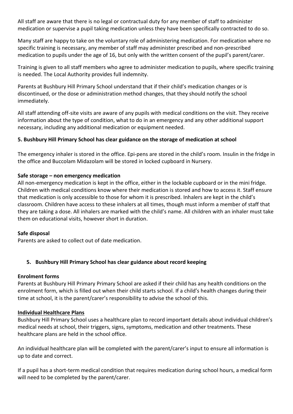All staff are aware that there is no legal or contractual duty for any member of staff to administer medication or supervise a pupil taking medication unless they have been specifically contracted to do so.

Many staff are happy to take on the voluntary role of administering medication. For medication where no specific training is necessary, any member of staff may administer prescribed and non-prescribed medication to pupils under the age of 16, but only with the written consent of the pupil's parent/carer.

Training is given to all staff members who agree to administer medication to pupils, where specific training is needed. The Local Authority provides full indemnity.

Parents at Bushbury Hill Primary School understand that if their child's medication changes or is discontinued, or the dose or administration method changes, that they should notify the school immediately.

All staff attending off-site visits are aware of any pupils with medical conditions on the visit. They receive information about the type of condition, what to do in an emergency and any other additional support necessary, including any additional medication or equipment needed.

# **5. Bushbury Hill Primary School has clear guidance on the storage of medication at school**

The emergency inhaler is stored in the office. Epi-pens are stored in the child's room. Insulin in the fridge in the office and Buccolam Midazolam will be stored in locked cupboard in Nursery.

# **Safe storage – non emergency medication**

All non-emergency medication is kept in the office, either in the lockable cupboard or in the mini fridge. Children with medical conditions know where their medication is stored and how to access it. Staff ensure that medication is only accessible to those for whom it is prescribed. Inhalers are kept in the child's classroom. Children have access to these inhalers at all times, though must inform a member of staff that they are taking a dose. All inhalers are marked with the child's name. All children with an inhaler must take them on educational visits, however short in duration.

# **Safe disposal**

Parents are asked to collect out of date medication.

# **5. Bushbury Hill Primary School has clear guidance about record keeping**

#### **Enrolment forms**

Parents at Bushbury Hill Primary Primary School are asked if their child has any health conditions on the enrolment form, which is filled out when their child starts school. If a child's health changes during their time at school, it is the parent/carer's responsibility to advise the school of this.

#### **Individual Healthcare Plans**

Bushbury Hill Primary School uses a healthcare plan to record important details about individual children's medical needs at school, their triggers, signs, symptoms, medication and other treatments. These healthcare plans are held in the school office.

An individual healthcare plan will be completed with the parent/carer's input to ensure all information is up to date and correct.

If a pupil has a short-term medical condition that requires medication during school hours, a medical form will need to be completed by the parent/carer.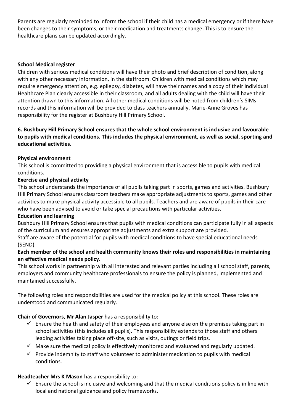Parents are regularly reminded to inform the school if their child has a medical emergency or if there have been changes to their symptoms, or their medication and treatments change. This is to ensure the healthcare plans can be updated accordingly.

# **School Medical register**

Children with serious medical conditions will have their photo and brief description of condition, along with any other necessary information, in the staffroom. Children with medical conditions which may require emergency attention, e.g. epilepsy, diabetes, will have their names and a copy of their Individual Healthcare Plan clearly accessible in their classroom, and all adults dealing with the child will have their attention drawn to this information. All other medical conditions will be noted from children's SIMs records and this information will be provided to class teachers annually. Marie-Anne Groves has responsibility for the register at Bushbury Hill Primary School.

# **6. Bushbury Hill Primary School ensures that the whole school environment is inclusive and favourable to pupils with medical conditions. This includes the physical environment, as well as social, sporting and educational activities.**

# **Physical environment**

This school is committed to providing a physical environment that is accessible to pupils with medical conditions.

# **Exercise and physical activity**

This school understands the importance of all pupils taking part in sports, games and activities. Bushbury Hill Primary School ensures classroom teachers make appropriate adjustments to sports, games and other activities to make physical activity accessible to all pupils. Teachers and are aware of pupils in their care who have been advised to avoid or take special precautions with particular activities.

# **Education and learning**

Bushbury Hill Primary School ensures that pupils with medical conditions can participate fully in all aspects of the curriculum and ensures appropriate adjustments and extra support are provided.

Staff are aware of the potential for pupils with medical conditions to have special educational needs (SEND).

# **Each member of the school and health community knows their roles and responsibilities in maintaining an effective medical needs policy.**

This school works in partnership with all interested and relevant parties including all school staff, parents, employers and community healthcare professionals to ensure the policy is planned, implemented and maintained successfully.

The following roles and responsibilities are used for the medical policy at this school. These roles are understood and communicated regularly.

# **Chair of Governors, Mr Alan Jasper** has a responsibility to:

- $\checkmark$  Ensure the health and safety of their employees and anyone else on the premises taking part in school activities (this includes all pupils). This responsibility extends to those staff and others leading activities taking place off-site, such as visits, outings or field trips.
- $\checkmark$  Make sure the medical policy is effectively monitored and evaluated and regularly updated.
- $\checkmark$  Provide indemnity to staff who volunteer to administer medication to pupils with medical conditions.

# **Headteacher Mrs K Mason** has a responsibility to:

 $\checkmark$  Ensure the school is inclusive and welcoming and that the medical conditions policy is in line with local and national guidance and policy frameworks.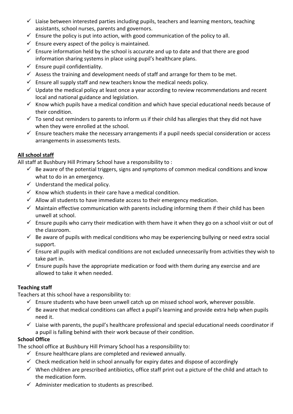- $\checkmark$  Liaise between interested parties including pupils, teachers and learning mentors, teaching assistants, school nurses, parents and governors.
- $\checkmark$  Ensure the policy is put into action, with good communication of the policy to all.
- $\checkmark$  Ensure every aspect of the policy is maintained.
- $\checkmark$  Ensure information held by the school is accurate and up to date and that there are good information sharing systems in place using pupil's healthcare plans.
- $\checkmark$  Ensure pupil confidentiality.
- $\checkmark$  Assess the training and development needs of staff and arrange for them to be met.
- $\checkmark$  Ensure all supply staff and new teachers know the medical needs policy.
- $\checkmark$  Update the medical policy at least once a year according to review recommendations and recent local and national guidance and legislation.
- $\checkmark$  Know which pupils have a medical condition and which have special educational needs because of their condition.
- $\checkmark$  To send out reminders to parents to inform us if their child has allergies that they did not have when they were enrolled at the school.
- $\checkmark$  Ensure teachers make the necessary arrangements if a pupil needs special consideration or access arrangements in assessments tests.

# **All school staff**

All staff at Bushbury Hill Primary School have a responsibility to :

- $\checkmark$  Be aware of the potential triggers, signs and symptoms of common medical conditions and know what to do in an emergency.
- $\checkmark$  Understand the medical policy.
- $\checkmark$  Know which students in their care have a medical condition.
- $\checkmark$  Allow all students to have immediate access to their emergency medication.
- $\checkmark$  Maintain effective communication with parents including informing them if their child has been unwell at school.
- $\checkmark$  Ensure pupils who carry their medication with them have it when they go on a school visit or out of the classroom.
- $\checkmark$  Be aware of pupils with medical conditions who may be experiencing bullying or need extra social support.
- $\checkmark$  Ensure all pupils with medical conditions are not excluded unnecessarily from activities they wish to take part in.
- $\checkmark$  Ensure pupils have the appropriate medication or food with them during any exercise and are allowed to take it when needed.

# **Teaching staff**

Teachers at this school have a responsibility to:

- $\checkmark$  Ensure students who have been unwell catch up on missed school work, wherever possible.
- $\checkmark$  Be aware that medical conditions can affect a pupil's learning and provide extra help when pupils need it.
- $\checkmark$  Liaise with parents, the pupil's healthcare professional and special educational needs coordinator if a pupil is falling behind with their work because of their condition.

# **School Office**

The school office at Bushbury Hill Primary School has a responsibility to:

- $\checkmark$  Ensure healthcare plans are completed and reviewed annually.
- $\checkmark$  Check medication held in school annually for expiry dates and dispose of accordingly
- $\checkmark$  When children are prescribed antibiotics, office staff print out a picture of the child and attach to the medication form.
- $\checkmark$  Administer medication to students as prescribed.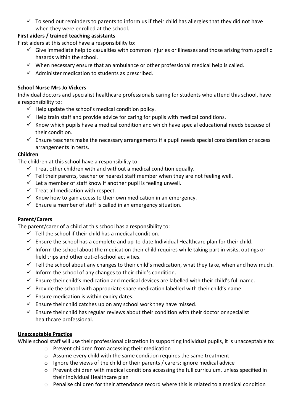$\checkmark$  To send out reminders to parents to inform us if their child has allergies that they did not have when they were enrolled at the school.

# **First aiders / trained teaching assistants**

First aiders at this school have a responsibility to:

- $\checkmark$  Give immediate help to casualties with common injuries or illnesses and those arising from specific hazards within the school.
- $\checkmark$  When necessary ensure that an ambulance or other professional medical help is called.
- $\checkmark$  Administer medication to students as prescribed.

# **School Nurse Mrs Jo Vickers**

Individual doctors and specialist healthcare professionals caring for students who attend this school, have a responsibility to:

- $\checkmark$  Help update the school's medical condition policy.
- $\checkmark$  Help train staff and provide advice for caring for pupils with medical conditions.
- $\checkmark$  Know which pupils have a medical condition and which have special educational needs because of their condition.
- $\checkmark$  Ensure teachers make the necessary arrangements if a pupil needs special consideration or access arrangements in tests.

# **Children**

The children at this school have a responsibility to:

- $\checkmark$  Treat other children with and without a medical condition equally.
- $\checkmark$  Tell their parents, teacher or nearest staff member when they are not feeling well.
- $\checkmark$  Let a member of staff know if another pupil is feeling unwell.
- $\checkmark$  Treat all medication with respect.
- $\checkmark$  Know how to gain access to their own medication in an emergency.
- $\checkmark$  Ensure a member of staff is called in an emergency situation.

# **Parent/Carers**

The parent/carer of a child at this school has a responsibility to:

- $\checkmark$  Tell the school if their child has a medical condition.
- $\checkmark$  Ensure the school has a complete and up-to-date Individual Healthcare plan for their child.
- $\checkmark$  Inform the school about the medication their child requires while taking part in visits, outings or field trips and other out-of-school activities.
- $\checkmark$  Tell the school about any changes to their child's medication, what they take, when and how much.
- $\checkmark$  Inform the school of any changes to their child's condition.
- $\checkmark$  Ensure their child's medication and medical devices are labelled with their child's full name.
- $\checkmark$  Provide the school with appropriate spare medication labelled with their child's name.
- $\checkmark$  Ensure medication is within expiry dates.
- $\checkmark$  Ensure their child catches up on any school work they have missed.
- $\checkmark$  Ensure their child has regular reviews about their condition with their doctor or specialist healthcare professional.

# **Unacceptable Practice**

While school staff will use their professional discretion in supporting individual pupils, it is unacceptable to:

- o Prevent children from accessing their medication
- $\circ$  Assume every child with the same condition requires the same treatment
- o Ignore the views of the child or their parents / carers; ignore medical advice
- $\circ$  Prevent children with medical conditions accessing the full curriculum, unless specified in their Individual Healthcare plan
- o Penalise children for their attendance record where this is related to a medical condition